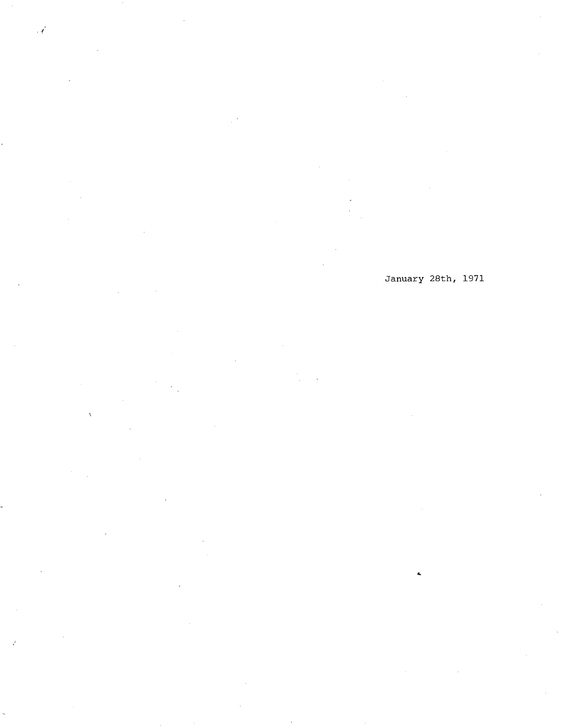January 28th, 1971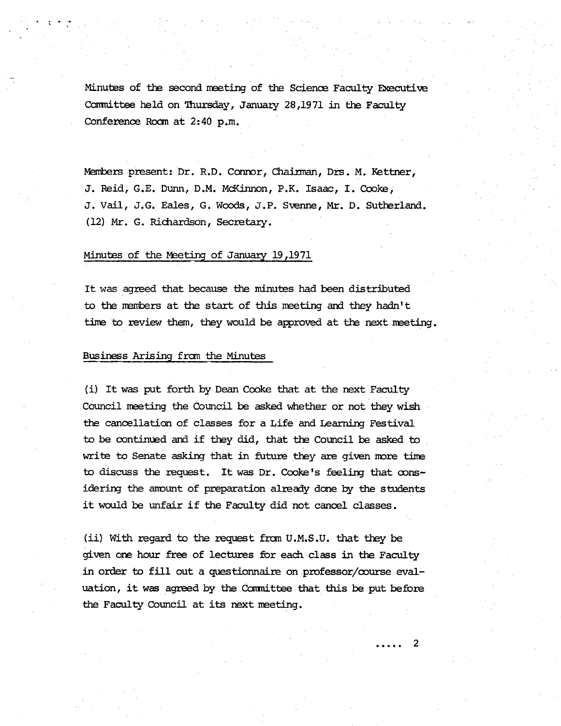Minutes of the second meeting of the Science Faculty Executive Committee held on Thursday, January 28,1971 in the Faculty Conference Room at 2:40 p.m.

Members present: Dr. R.D. Conror, Chairman, Drs. M. Kettner, J. Reid, G.E. Dunn, D.M. McKinnon, P.K. Isaac, I. Cooke J. Vail, J.G. Eales, G. Woods, J.P. Svenne, Mr. D. Sutherland. (12) Mr. G. Richardson, Secretary.

# Minutes of the Meeting of January 19,1971

It was agreed that because the minutes had been distributed to the members at the start of this meeting and they hadn't time to review them, they would be approved at the next meeting.

# Business Arising fran the Minutes

(i) It was put forth by Dean Cooke that at the next Faculty Council meeting the Council be asked whether or not they wish the cancellation of classes for a Life and Learning Festival to be continued and if they did, that the Council be asked to write to Senate asking that in future they are given more time to discuss the request. It was Dr. Cooke's feeling that oonsidering the anount of preparation already done by the students it would be unfair if the Faculty did not cancel classes.

(ii) With regard to the request from U.M.S.U. that they be given one hour free of lectures for each class in *the* Faculty in order to fill out a questionnaire on professor/course evaluation, it was agreed by the Committee that this be put before the Faculty Council at its next neeting.

2

. . . . .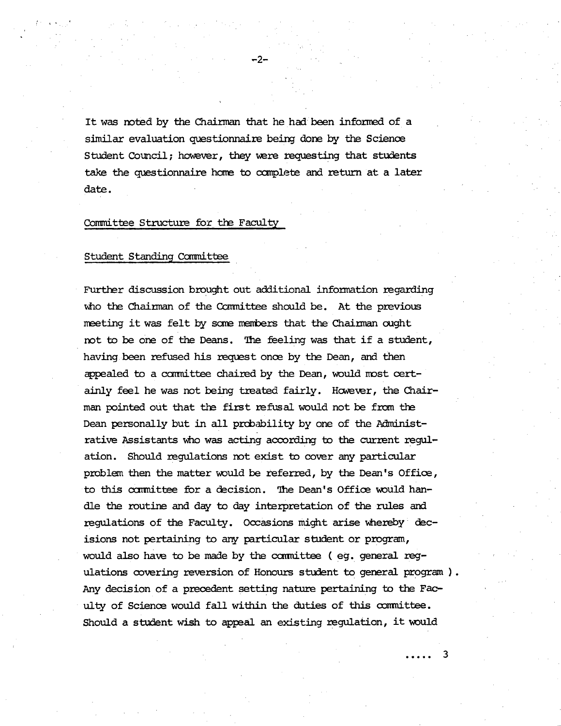It was noted by the Chairman that he had been informad of a similar evaluation questionnaire being done by the Science Student Council; however, they were requesting that students take the questionnaire home to complete and return at a later date.

 $-2-$ 

# Committee Structure for the Faculty

#### Student Standing Committee

Further discussion brought out additional information regarding who the Chairman of the Committee should be. At the previous meeting it was felt by some members that the Chairman ought not to be one of the Deans. *The* feeling was that if a student, having been refused his request once by the Dean, and then pealed to a canmittee chaired by the Dean, would most certainly feel he was not being treated fairly. However, the Chairman pointed out that the first refusal would not be from the Dean personally but in all probability by one of the Administrative Assistants who was acting according to the current regulation. Should regulations not exist to cover any particular problem then the matter would be referred, by the Dean's Office, to this committee for a decision. The Dean's Office would handle the routine and day to day interpretation of the rules and regulations of the Faculty. Occasions might arise whereby decisions not pertaining to any particular student or program, would also have to be made by the committee (eg. general regulations covering reversion of Honours student to general program). Any decision of a precedent setting nature pertaining to the Faculty of Science would fall within the duties of this committee. Should a student wish to appeal an existing regulation, it would

. . . . . 3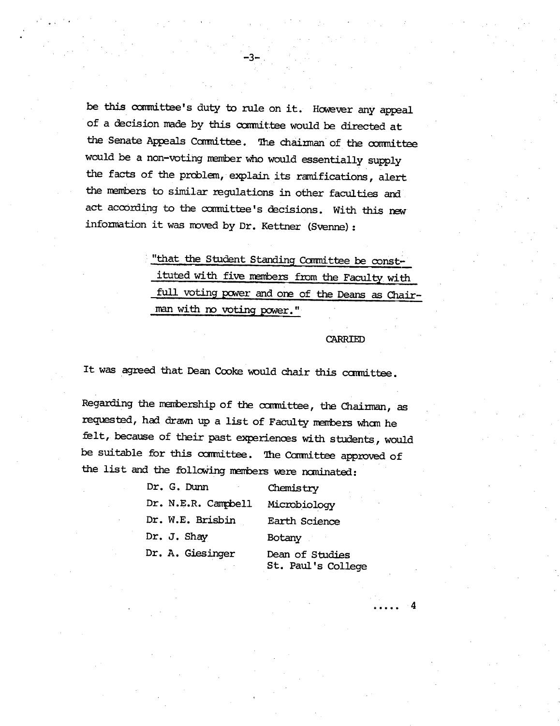be this committee's duty to rule on it. However any appeal of a decision made by this cmnittee would be directed at the Senate Appeals Committee. The chainman of the committee would be a non-voting member who would essentially supply the facts of the problem, explain its ramifications, alert the members to similar regulations in other faculties and. act according to the cxmittee's decisions. With this *n*ew information it was moved by Dr. Kettner (Svenne):

-3-.

"that the Student Standing Committee be constituted with five members from the Faculty with full voting pcwer and one of the Deans as Chairman with no voting power."

#### CARRIED

It was agreed that Dean Cooke would chair this committee.

Regarding the membership of the committee, the Chairman, as requested, had drawn up a list of Faculty menbers whan he felt, because of their past experiences with students, would be suitable for this committee. The Committee approved of the list and the following members were nominated:

| Dr. G. Dunn         | Chemistry                             |
|---------------------|---------------------------------------|
| Dr. N.E.R. Campbell | Microbiology                          |
| Dr. W.E. Brisbin    | Earth Science                         |
| Dr. J. Shay         | Botany                                |
| Dr. A. Giesinger    | Dean of Studies<br>St. Paul's College |

4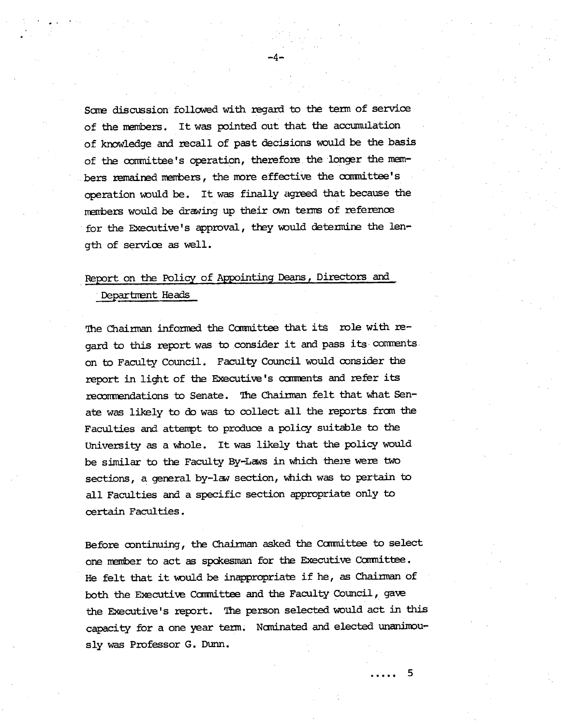Some discussion followed with regard to the term of service of the members. It was pointed out that the accumulation of knowledge and recall of past decisions would be the basis of the committee's operation, therefore the longer the members remained members, the more effective the committee's operation would be. It was finally agreed that because the members would be drawing up their own terms of reference for the Executive's approval, they would detennire the length of service as well.

 $-4-$ 

# Report on the Policy of Appointing Deans, Directors and

Department Heads

The Chairman informed the Committee that its role with regard to this report was to consider it and pass its comments. on to Faculty Council. Faculty Council would consider the report in light of the Executive's comments and refer its reconmendations to Senate. The Chairman felt that what Senate was likely to **de** was to collect all the reports fran the Faculties and attempt to produce a policy suitable to the University as a whole. It was likely that the policy would be similar to the Faculty By-Laws in which there were two sections, a general by-law section, which was to pertain to all Faculties and a specific section appropriate only to certain Faculties.

Before continuing, the Chairman asked the Committee to select one member to act as spdesinan for the Executive Ccmnittee. He felt that it would be inappropriate if he, as Chairman of both the Executive Committee and the Faculty Council, gave the Executive's report. The person selected would act in this capacity for a one year term. Nominated and elected unanimously was Professor G. Dunn.

5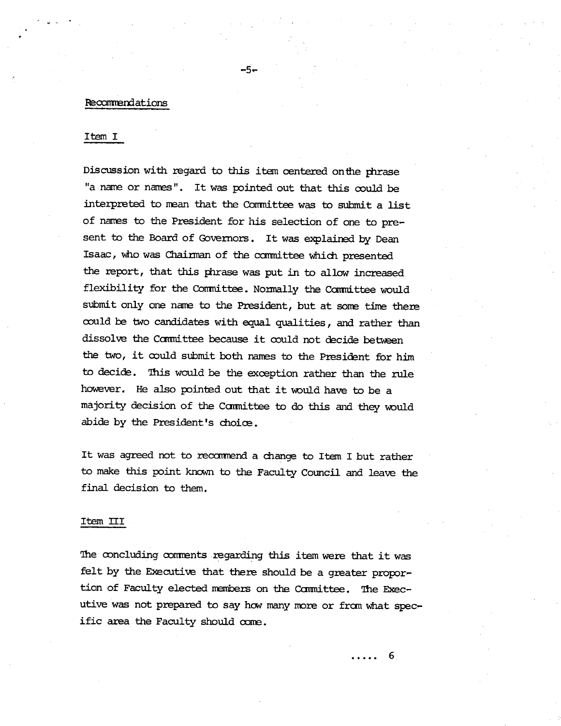### Recommendations

# Item I

Discussion with regard to this item centered *onthe* thrase "a name or names". It was pointed out that this could be interpreted to mean that the Comittee was to submit a list of names to the President for his selection of one to present to the Board of Governors. It was explained by Dean Isaac, who was Chairman of the carmittee which presented the report, that this phrase was put in to allow increased flexibility for the Committee. Normally the Committee would submit only one name to the President, but at some time there could be two candidates with equal qualities, and rather than dissolve the Committee because it could not decide between the two, it could submit both names to the President for him to *decide.* This would be the exception rather than the rule however. He also pointed out that it would have to be a majority decision of the Committee to do this and they would abide by the President's choice.

-5-

It was agreed not to recommend a change to Item I but rather to make this point known to the Faculty Council and leave the final decision to them.

#### Item III

The concluding comments regarding this item were that it was felt by the Executive that there should be a greater proportion of Faculty elected members on the Committee. The Executive was not prepared to say how many more or from what specific area the Faculty should come.

> . . . . . 6